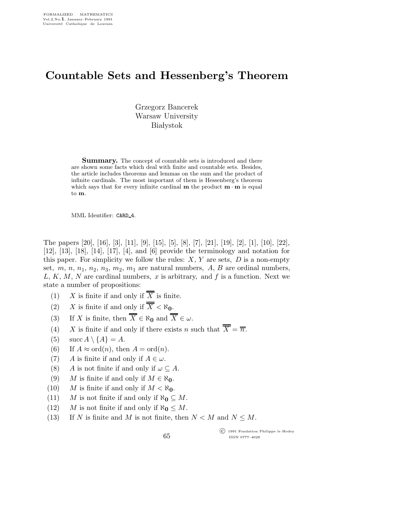## Countable Sets and Hessenberg's Theorem

Grzegorz Bancerek Warsaw University **Białystok** 

**Summary.** The concept of countable sets is introduced and there are shown some facts which deal with finite and countable sets. Besides, the article includes theorems and lemmas on the sum and the product of infinite cardinals. The most important of them is Hessenberg's theorem which says that for every infinite cardinal  $m$  the product  $m \cdot m$  is equal to m.

MML Identifier: CARD 4.

The papers [20], [16], [3], [11], [9], [15], [5], [8], [7], [21], [19], [2], [1], [10], [22], [12], [13], [18], [14], [17], [4], and [6] provide the terminology and notation for this paper. For simplicity we follow the rules:  $X, Y$  are sets,  $D$  is a non-empty set,  $m, n, n_1, n_2, n_3, m_2, m_1$  are natural numbers, A, B are ordinal numbers,  $L, K, M, N$  are cardinal numbers, x is arbitrary, and f is a function. Next we state a number of propositions:

- (1) X is finite if and only if  $\overline{\overline{X}}$  is finite.
- (2) X is finite if and only if  $\overline{X} < \aleph_0$ .
- (3) If X is finite, then  $\overline{\overline{X}} \in \aleph_0$  and  $\overline{\overline{X}} \in \omega$ .
- (4) X is finite if and only if there exists n such that  $\overline{\overline{X}} = \overline{\overline{n}}$ .
- (5)  $\sec A \setminus \{A\} = A$ .
- (6) If  $A \approx \text{ord}(n)$ , then  $A = \text{ord}(n)$ .
- (7) A is finite if and only if  $A \in \omega$ .
- (8) A is not finite if and only if  $\omega \subseteq A$ .
- (9) M is finite if and only if  $M \in \aleph_0$ .
- (10) M is finite if and only if  $M < \aleph_0$ .
- (11) M is not finite if and only if  $\aleph_0 \subseteq M$ .
- (12) M is not finite if and only if  $\aleph_0 \leq M$ .
- (13) If N is finite and M is not finite, then  $N < M$  and  $N \leq M$ .

65

 c 1991 Fondation Philippe le Hodey ISSN 0777–4028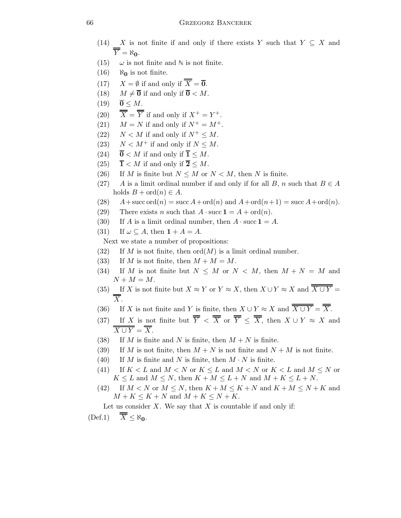- (14) X is not finite if and only if there exists Y such that  $Y \subseteq X$  and  $\overline{Y} = \aleph_0$ .
- (15)  $\omega$  is not finite and N is not finite.
- $(16)$  No is not finite.
- (17)  $X = \emptyset$  if and only if  $\overline{X} = \overline{\mathbf{0}}$ .
- (18)  $M \neq \overline{0}$  if and only if  $\overline{0} < M$ .
- $(19)$   $\overline{0} \leq M$ .
- (20)  $\overline{\overline{X}} = \overline{\overline{Y}}$  if and only if  $X^+ = Y^+$ .
- (21)  $M = N$  if and only if  $N^+ = M^+$ .
- (22)  $N < M$  if and only if  $N^+ \leq M$ .
- (23)  $N < M^+$  if and only if  $N < M$ .
- (24)  $\overline{0}$  < *M* if and only if  $\overline{1} \leq M$ .
- (25)  $\overline{\mathbf{1}} < M$  if and only if  $\overline{\mathbf{2}} \leq M$ .
- (26) If M is finite but  $N \leq M$  or  $N \leq M$ , then N is finite.
- (27) A is a limit ordinal number if and only if for all B, n such that  $B \in A$ holds  $B + \text{ord}(n) \in A$ .
- (28)  $A + \text{succ ord}(n) = \text{succ } A + \text{ord}(n)$  and  $A + \text{ord}(n+1) = \text{succ } A + \text{ord}(n)$ .
- (29) There exists *n* such that  $A \cdot \text{succ } \mathbf{1} = A + \text{ord}(n)$ .
- (30) If A is a limit ordinal number, then  $A \cdot \text{succ 1} = A$ .
- (31) If  $\omega \subseteq A$ , then  $1 + A = A$ .

Next we state a number of propositions:

- (32) If M is not finite, then  $\mathrm{ord}(M)$  is a limit ordinal number.
- (33) If M is not finite, then  $M + M = M$ .
- (34) If M is not finite but  $N \leq M$  or  $N \leq M$ , then  $M + N = M$  and  $N + M = M$ .
- (35) If X is not finite but  $X \approx Y$  or  $Y \approx X$ , then  $X \cup Y \approx X$  and  $\overline{X \cup Y} =$  $\overline{X}$ .
- (36) If X is not finite and Y is finite, then  $X \cup Y \approx X$  and  $\overline{\overline{X \cup Y}} = \overline{\overline{X}}$ .
- (37) If X is not finite but  $\overline{\overline{Y}} < \overline{\overline{X}}$  or  $\overline{\overline{Y}} \le \overline{\overline{X}}$ , then  $X \cup Y \approx X$  and  $\overline{X \cup Y} = \overline{X}$ .
- (38) If M is finite and N is finite, then  $M + N$  is finite.
- (39) If M is not finite, then  $M + N$  is not finite and  $N + M$  is not finite.
- (40) If M is finite and N is finite, then  $M \cdot N$  is finite.
- (41) If  $K < L$  and  $M < N$  or  $K < L$  and  $M < N$  or  $K < L$  and  $M \leq N$  or  $K \leq L$  and  $M \leq N$ , then  $K + M \leq L + N$  and  $M + K \leq L + N$ .
- (42) If  $M < N$  or  $M \le N$ , then  $K + M \le K + N$  and  $K + M \le N + K$  and  $M + K \leq K + N$  and  $M + K \leq N + K$ .

Let us consider  $X$ . We say that  $X$  is countable if and only if:  $(\text{Def.1}) \quad \overline{X} \leq \aleph_0.$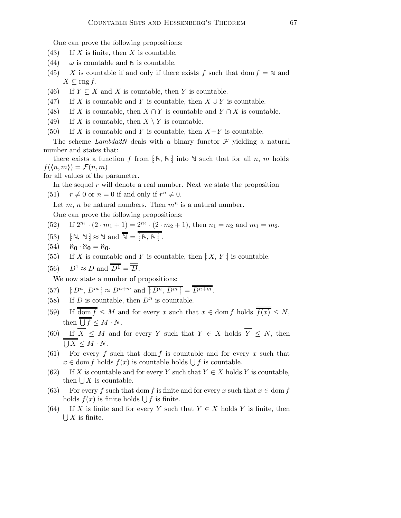One can prove the following propositions:

- (43) If  $X$  is finite, then  $X$  is countable.
- (44)  $\omega$  is countable and N is countable.
- (45) X is countable if and only if there exists f such that dom  $f = N$  and  $X \subseteq \text{rng } f.$
- (46) If  $Y \subseteq X$  and X is countable, then Y is countable.
- (47) If X is countable and Y is countable, then  $X \cup Y$  is countable.
- (48) If X is countable, then  $X \cap Y$  is countable and  $Y \cap X$  is countable.
- (49) If X is countable, then  $X \setminus Y$  is countable.
- (50) If X is countable and Y is countable, then  $X \dot{=} Y$  is countable.

The scheme Lambda<sub>2</sub>N deals with a binary functor  $\mathcal F$  yielding a natural number and states that:

there exists a function f from  $\lceil \mathbb{N}, \mathbb{N} \rceil$  into  $\mathbb{N}$  such that for all n, m holds  $f(\langle n,m\rangle) = \mathcal{F}(n,m)$ 

for all values of the parameter.

In the sequel  $r$  will denote a real number. Next we state the proposition

(51)  $r \neq 0$  or  $n = 0$  if and only if  $r^n \neq 0$ .

Let  $m$ , n be natural numbers. Then  $m^n$  is a natural number.

One can prove the following propositions:

(52) If 
$$
2^{n_1} \cdot (2 \cdot m_1 + 1) = 2^{n_2} \cdot (2 \cdot m_2 + 1)
$$
, then  $n_1 = n_2$  and  $m_1 = m_2$ .

- (53)  $[\mathbb{N}, \mathbb{N}] \approx \mathbb{N}$  and  $\overline{\overline{\mathbb{N}}} = \overline{\overline{[\mathbb{N}, \mathbb{N}]}}.$
- $(54)$   $\aleph_0 \cdot \aleph_0 = \aleph_0$ .
- (55) If X is countable and Y is countable, then  $[X, Y]$  is countable.
- (56)  $D^1 \approx D$  and  $\overline{D^1} = \overline{D}$ .

We now state a number of propositions:

(57) 
$$
[D^n, D^m] \approx D^{n+m}
$$
 and  $\overline{[D^n, D^m]} = \overline{D^{n+m}}$ .

- (58) If D is countable, then  $D^n$  is countable.
- (59) If  $\overline{\text{dom } f} \leq M$  and for every x such that  $x \in \text{dom } f$  holds  $\overline{f(x)} \leq N$ , then  $\bigcup f \leq M \cdot N$ .
- (60) If  $\overline{\overline{X}} \leq M$  and for every Y such that  $Y \in X$  holds  $\overline{\overline{Y}} \leq N$ , then  $\bigcup X \leq M \cdot N$ .
- (61) For every f such that dom f is countable and for every x such that  $x \in \text{dom } f$  holds  $f(x)$  is countable holds  $\bigcup f$  is countable.
- (62) If X is countable and for every Y such that  $Y \in X$  holds Y is countable, then  $\bigcup X$  is countable.
- (63) For every f such that dom f is finite and for every x such that  $x \in \text{dom } f$ holds  $f(x)$  is finite holds  $\bigcup f$  is finite.
- (64) If X is finite and for every Y such that  $Y \in X$  holds Y is finite, then  $\bigcup X$  is finite.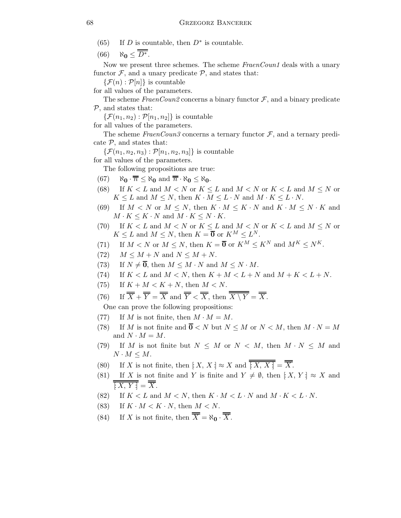- (65) If D is countable, then  $D^*$  is countable.
- $(66)$   $\aleph_0 \leq \overline{\overline{D^*}}$ .

Now we present three schemes. The scheme FraenCoun1 deals with a unary functor  $\mathcal{F}$ , and a unary predicate  $\mathcal{P}$ , and states that:

 $\{\mathcal{F}(n):\mathcal{P}[n]\}\$ is countable

for all values of the parameters.

The scheme FraenCoun2 concerns a binary functor  $\mathcal{F}$ , and a binary predicate  $P$ , and states that:

 $\{\mathcal{F}(n_1,n_2): \mathcal{P}[n_1,n_2]\}\$ is countable

for all values of the parameters.

The scheme FraenCoun3 concerns a ternary functor  $\mathcal{F}$ , and a ternary predicate  $P$ , and states that:

 $\{\mathcal{F}(n_1,n_2,n_3): \mathcal{P}[n_1,n_2,n_3]\}\$ is countable

for all values of the parameters.

The following propositions are true:

- $(67)$   $\aleph_0 \cdot \overline{n} \leq \aleph_0$  and  $\overline{n} \cdot \aleph_0 \leq \aleph_0$ .
- (68) If  $K < L$  and  $M < N$  or  $K \leq L$  and  $M < N$  or  $K < L$  and  $M \leq N$  or  $K \leq L$  and  $M \leq N$ , then  $K \cdot M \leq L \cdot N$  and  $M \cdot K \leq L \cdot N$ .
- (69) If  $M < N$  or  $M \leq N$ , then  $K \cdot M \leq K \cdot N$  and  $K \cdot M \leq N \cdot K$  and  $M\cdot K\leq K\cdot N$  and  $M\cdot K\leq N\cdot K.$
- (70) If  $K < L$  and  $M < N$  or  $K \leq L$  and  $M < N$  or  $K < L$  and  $M \leq N$  or  $K \leq L$  and  $M \leq N$ , then  $K = \overline{0}$  or  $K^M \leq L^N$ .
- (71) If  $M < N$  or  $M \le N$ , then  $K = \overline{\mathbf{0}}$  or  $K^M \le K^N$  and  $M^K \le N^K$ .
- (72)  $M \leq M + N$  and  $N \leq M + N$ .
- (73) If  $N \neq \overline{0}$ , then  $M \leq M \cdot N$  and  $M \leq N \cdot M$ .
- (74) If  $K < L$  and  $M < N$ , then  $K + M < L + N$  and  $M + K < L + N$ .
- (75) If  $K + M < K + N$ , then  $M < N$ .
- (76) If  $\overline{\overline{X}} + \overline{\overline{Y}} = \overline{\overline{X}}$  and  $\overline{\overline{Y}} < \overline{\overline{X}}$ , then  $\overline{\overline{X \setminus Y}} = \overline{\overline{X}}$ .

One can prove the following propositions:

- (77) If M is not finite, then  $M \cdot M = M$ .
- (78) If M is not finite and  $\overline{0}$  < N but  $N \leq M$  or  $N < M$ , then  $M \cdot N = M$ and  $N \cdot M = M$ .
- (79) If M is not finite but  $N \leq M$  or  $N \leq M$ , then  $M \cdot N \leq M$  and  $N \cdot M \leq M$ .
- (80) If X is not finite, then  $[X, X] \approx X$  and  $\overline{\overline{[X, X]}} = \overline{\overline{X}}$ .
- (81) If X is not finite and Y is finite and  $Y \neq \emptyset$ , then  $[X, Y] \approx X$  and  $\overline{[X, Y]} = \overline{X}$ .
- (82) If  $K < L$  and  $M < N$ , then  $K \cdot M < L \cdot N$  and  $M \cdot K < L \cdot N$ .
- (83) If  $K \cdot M < K \cdot N$ , then  $M < N$ .
- (84) If X is not finite, then  $\overline{\overline{X}} = \aleph_0 \cdot \overline{\overline{X}}$ .